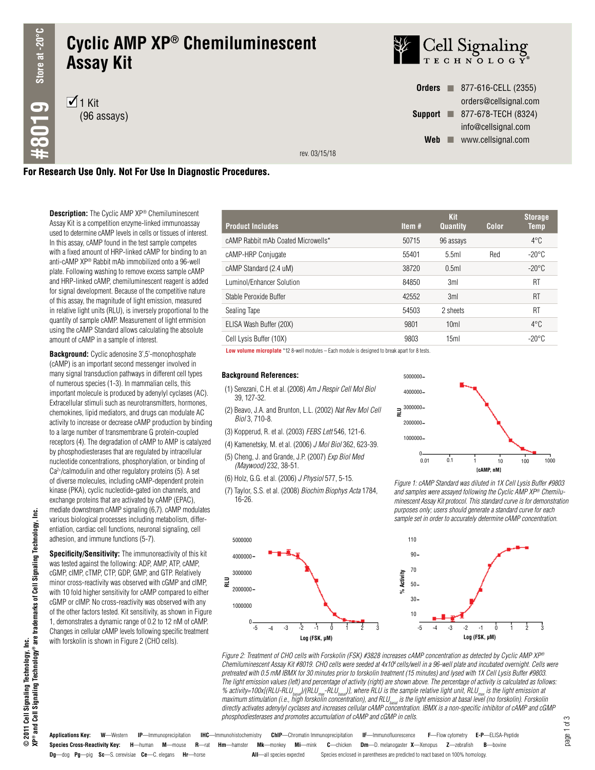# **Cyclic AMP XP® Chemiluminescent Assay Kit**

 $\overline{1}$  1 Kit (96 assays)



**Orders n** 877-616-CELL (2355) orders@cellsignal.com **Support** 277-678-TECH (8324) info@cellsignal.com **Web www.cellsignal.com** 

rev. 03/15/18

### **For Research Use Only. Not For Use In Diagnostic Procedures.**

**Description:** The Cyclic AMP XP® Chemiluminescent Assay Kit is a competition enzyme-linked immunoassay used to determine cAMP levels in cells or tissues of interest. In this assay, cAMP found in the test sample competes with a fixed amount of HRP-linked cAMP for binding to an anti-cAMP XP® Rabbit mAb immobilized onto a 96-well plate. Following washing to remove excess sample cAMP and HRP-linked cAMP, chemiluminescent reagent is added for signal development. Because of the competitive nature of this assay, the magnitude of light emission, measured in relative light units (RLU), is inversely proportional to the quantity of sample cAMP. Measurement of light emmision using the cAMP Standard allows calculating the absolute amount of cAMP in a sample of interest.

**Background:** Cyclic adenosine 3',5'-monophosphate (cAMP) is an important second messenger involved in many signal transduction pathways in different cell types of numerous species (1-3). In mammalian cells, this important molecule is produced by adenylyl cyclases (AC). Extracellular stimuli such as neurotransmitters, hormones, chemokines, lipid mediators, and drugs can modulate AC activity to increase or decrease cAMP production by binding to a large number of transmembrane G protein-coupled receptors (4). The degradation of cAMP to AMP is catalyzed by phosphodiesterases that are regulated by intracellular nucleotide concentrations, phosphorylation, or binding of Ca2+/calmodulin and other regulatory proteins (5). A set of diverse molecules, including cAMP-dependent protein kinase (PKA), cyclic nucleotide-gated ion channels, and exchange proteins that are activated by cAMP (EPAC), mediate downstream cAMP signaling (6,7). cAMP modulates various biological processes including metabolism, differentiation, cardiac cell functions, neuronal signaling, cell adhesion, and immune functions (5-7).

**Specificity/Sensitivity:** The immunoreactivity of this kit was tested against the following: ADP, AMP, ATP, cAMP, cGMP, cIMP, cTMP, CTP, GDP, GMP, and GTP. Relatively minor cross-reactivity was observed with cGMP and cIMP, with 10 fold higher sensitivity for cAMP compared to either cGMP or cIMP. No cross-reactivity was observed with any of the other factors tested. Kit sensitivity, as shown in Figure 1, demonstrates a dynamic range of 0.2 to 12 nM of cAMP. Changes in cellular cAMP levels following specific treatment with forskolin is shown in Figure 2 (CHO cells).

| <b>Product Includes</b>            | Item # | <b>Kit</b><br><b>Quantity</b> | <b>Color</b> | <b>Storage</b><br>Temp |
|------------------------------------|--------|-------------------------------|--------------|------------------------|
| cAMP Rabbit mAb Coated Microwells* | 50715  | 96 assays                     |              | $4^{\circ}$ C          |
| cAMP-HRP Conjugate                 | 55401  | 5.5ml                         | Red          | $-20^{\circ}$ C        |
| cAMP Standard (2.4 uM)             | 38720  | 0.5ml                         |              | $-20^{\circ}$ C        |
| Luminol/Enhancer Solution          | 84850  | 3ml                           |              | RT                     |
| Stable Peroxide Buffer             | 42552  | 3ml                           |              | RT                     |
| Sealing Tape                       | 54503  | 2 sheets                      |              | RT                     |
| ELISA Wash Buffer (20X)            | 9801   | 10 <sub>m</sub>               |              | $4^{\circ}$ C          |
| Cell Lysis Buffer (10X)            | 9803   | 15 <sub>m</sub>               |              | $-20^{\circ}$ C        |

**Low volume microplate** \*12 8-well modules – Each module is designed to break apart for 8 tests.

#### **Background References:**

- (1) Serezani, C.H. et al. (2008) *Am J Respir Cell Mol Biol* 39, 127-32.
- (2) Beavo, J.A. and Brunton, L.L. (2002) *Nat Rev Mol Cell Biol* 3, 710-8.
- (3) Kopperud, R. et al. (2003) *FEBS Lett* 546, 121-6.
- (4) Kamenetsky, M. et al. (2006) *J Mol Biol* 362, 623-39.
- (5) Cheng, J. and Grande, J.P. (2007) *Exp Biol Med (Maywood)* 232, 38-51.
- (6) Holz, G.G. et al. (2006) *J Physiol* 577, 5-15.
- (7) Taylor, S.S. et al. (2008) *Biochim Biophys Acta* 1784, 16-26.



*Figure 1: cAMP Standard was diluted in 1X Cell Lysis Buffer #9803 and samples were assayed following the Cyclic AMP XP® Chemiluminescent Assay Kit protocol. This standard curve is for demonstration purposes only; users should generate a standard curve for each sample set in order to accurately determine cAMP concentration.*





**Species Cross-Reactivity Key: H**—human **M**—mouse **R**—rat **Hm**—hamster **Mk**—monkey **Mi**—mink **C**—chicken **Dm**—D. melanogaster **X**—Xenopus **Z**—zebrafish **B**—bovine **Dg**—dog **Pg**—pig **Sc**—S. cerevisiae **Ce**—C. elegans **Hr**—horse **All**—all species expected Species enclosed in parentheses are predicted to react based on 100% homology. **Applications Key: W**—Western **IP**—Immunoprecipitation **IHC**—Immunohistochemistry **ChIP**—Chromatin Immunoprecipitation **IF**—Immunofluorescence **F**—Flow cytometry **E-P**—ELISA-Peptide